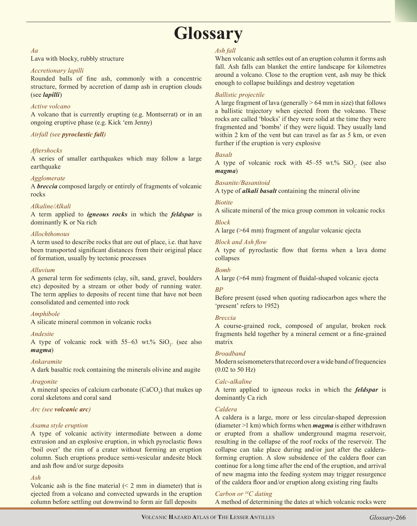# **Glossary**

## *Aa*

Lava with blocky, rubbly structure

## *Accretionary lapilli*

Rounded balls of fine ash, commonly with a concentric structure, formed by accretion of damp ash in eruption clouds (see *lapilli*)

## *Active volcano*

A volcano that is currently erupting (e.g. Montserrat) or in an ongoing eruptive phase (e.g. Kick 'em Jenny)

## *Airfall (see pyroclastic fall)*

## *Aftershocks*

A series of smaller earthquakes which may follow a large earthquake

## *Agglomerate*

A *breccia* composed largely or entirely of fragments of volcanic rocks

## *Alkaline/Alkali*

A term applied to *igneous rocks* in which the *feldspar* is dominantly K or Na rich

## *Allochthonous*

A term used to describe rocks that are out of place, i.e. that have been transported significant distances from their original place of formation, usually by tectonic processes

## *Alluvium*

A general term for sediments (clay, silt, sand, gravel, boulders etc) deposited by a stream or other body of running water. The term applies to deposits of recent time that have not been consolidated and cemented into rock

## *Amphibole*

A silicate mineral common in volcanic rocks

## *Andesite*

A type of volcanic rock with  $55-63$  wt.%  $SiO_2$ . (see also *magma*)

## *Ankaramite*

A dark basaltic rock containing the minerals olivine and augite

## *Aragonite*

A mineral species of calcium carbonate  $(CaCO<sub>3</sub>)$  that makes up coral skeletons and coral sand

## *Arc (see volcanic arc)*

## *Asama style eruption*

A type of volcanic activity intermediate between a dome extrusion and an explosive eruption, in which pyroclastic flows 'boil over' the rim of a crater without forming an eruption column. Such eruptions produce semi-vesicular andesite block and ash flow and/or surge deposits

## *Ash*

Volcanic ash is the fine material  $(2 \, \text{mm})$  in diameter) that is ejected from a volcano and convected upwards in the eruption column before settling out downwind to form air fall deposits

## *Ash fall*

When volcanic ash settles out of an eruption column it forms ash fall. Ash falls can blanket the entire landscape for kilometres around a volcano. Close to the eruption vent, ash may be thick enough to collapse buildings and destroy vegetation

## *Ballistic projectile*

A large fragment of lava (generally  $> 64$  mm in size) that follows a ballistic trajectory when ejected from the volcano. These rocks are called 'blocks' if they were solid at the time they were fragmented and 'bombs' if they were liquid. They usually land within 2 km of the vent but can travel as far as 5 km, or even further if the eruption is very explosive

## *Basalt*

A type of volcanic rock with  $45-55$  wt.%  $SiO_2$ . (see also *magma*)

## *Basanite/Basanitoid*

A type of *alkali basalt* containing the mineral olivine

## *Biotite*

A silicate mineral of the mica group common in volcanic rocks

## *Block*

A large (>64 mm) fragment of angular volcanic ejecta

## *Block and Ash flow*

A type of pyroclastic flow that forms when a lava dome collapses

## *Bomb*

A large (>64 mm) fragment of fluidal-shaped volcanic ejecta

## *BP*

Before present (used when quoting radiocarbon ages where the 'present' refers to 1952)

## *Breccia*

A course-grained rock, composed of angular, broken rock fragments held together by a mineral cement or a fine-grained matrix

## *Broadband*

Modern seismometers that record over a wide band of frequencies (0.02 to 50 Hz)

## *Calc-alkaline*

A term applied to igneous rocks in which the *feldspar* is dominantly Ca rich

## *Caldera*

A caldera is a large, more or less circular-shaped depression (diameter >1 km) which forms when *magma* is either withdrawn or erupted from a shallow underground magma reservoir, resulting in the collapse of the roof rocks of the reservoir. The collapse can take place during and/or just after the calderaforming eruption. A slow subsidence of the caldera floor can continue for a long time after the end of the eruption, and arrival of new magma into the feeding system may trigger resurgence of the caldera floor and/or eruption along existing ring faults

## *Carbon or 14C dating*

A method of determining the dates at which volcanic rocks were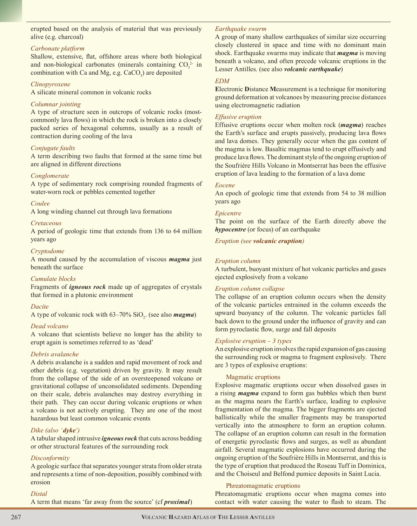erupted based on the analysis of material that was previously alive (e.g. charcoal)

#### *Carbonate platform*

Shallow, extensive, flat, offshore areas where both biological and non-biological carbonates (minerals containing  $CO_3^2$  in combination with Ca and Mg, e.g.  $CaCO<sub>3</sub>$ ) are deposited

#### *Clinopyroxene*

A silicate mineral common in volcanic rocks

## *Columnar jointing*

A type of structure seen in outcrops of volcanic rocks (mostcommonly lava flows) in which the rock is broken into a closely packed series of hexagonal columns, usually as a result of contraction during cooling of the lava

## *Conjugate faults*

A term describing two faults that formed at the same time but are aligned in different directions

#### *Conglomerate*

A type of sedimentary rock comprising rounded fragments of water-worn rock or pebbles cemented together

#### *Coulee*

A long winding channel cut through lava formations

#### *Cretaceous*

A period of geologic time that extends from 136 to 64 million years ago

#### *Cryptodome*

A mound caused by the accumulation of viscous *magma* just beneath the surface

## *Cumulate blocks*

Fragments of *igneous rock* made up of aggregates of crystals that formed in a plutonic environment

## *Dacite*

A type of volcanic rock with 63–70% SiO<sub>2</sub>. (see also **magma**)

## *Dead volcano*

A volcano that scientists believe no longer has the ability to erupt again is sometimes referred to as 'dead'

## *Debris avalanche*

A debris avalanche is a sudden and rapid movement of rock and other debris (e.g. vegetation) driven by gravity. It may result from the collapse of the side of an oversteepened volcano or gravitational collapse of unconsolidated sediments. Depending on their scale, debris avalanches may destroy everything in their path. They can occur during volcanic eruptions or when a volcano is not actively erupting. They are one of the most hazardous but least common volcanic events

## *Dike (also 'dyke')*

A tabular shaped intrusive *igneous rock* that cuts across bedding or other structural features of the surrounding rock

## *Disconformity*

A geologic surface that separates younger strata from older strata and represents a time of non-deposition, possibly combined with erosion

#### *Distal*

A term that means 'far away from the source' (cf *proximal*)

#### *Earthquake swarm*

A group of many shallow earthquakes of similar size occurring closely clustered in space and time with no dominant main shock. Earthquake swarms may indicate that *magma* is moving beneath a volcano, and often precede volcanic eruptions in the Lesser Antilles. (see also *volcanic earthquake*)

#### *EDM*

**E**lectronic **D**istance **M**easurement is a technique for monitoring ground deformation at volcanoes by measuring precise distances using electromagnetic radiation

#### *Effusive eruption*

Effusive eruptions occur when molten rock (*magma*) reaches the Earth's surface and erupts passively, producing lava flows and lava domes. They generally occur when the gas content of the magma is low. Basaltic magmas tend to erupt effusively and produce lava flows. The dominant style of the ongoing eruption of the Soufrière Hills Volcano in Montserrat has been the effusive eruption of lava leading to the formation of a lava dome

#### *Eocene*

An epoch of geologic time that extends from 54 to 38 million years ago

#### *Epicentre*

The point on the surface of the Earth directly above the *hypocentre* (or focus) of an earthquake

*Eruption (see volcanic eruption)*

#### *Eruption column*

A turbulent, buoyant mixture of hot volcanic particles and gases ejected explosively from a volcano

#### *Eruption column collapse*

The collapse of an eruption column occurs when the density of the volcanic particles entrained in the column exceeds the upward buoyancy of the column. The volcanic particles fall back down to the ground under the influence of gravity and can form pyroclastic flow, surge and fall deposits

#### *Explosive eruption – 3 types*

An explosive eruption involves the rapid expansion of gas causing the surrounding rock or magma to fragment explosively. There are 3 types of explosive eruptions:

#### Magmatic eruptions

Explosive magmatic eruptions occur when dissolved gases in a rising *magma* expand to form gas bubbles which then burst as the magma nears the Earth's surface, leading to explosive fragmentation of the magma. The bigger fragments are ejected ballistically while the smaller fragments may be transported vertically into the atmosphere to form an eruption column. The collapse of an eruption column can result in the formation of energetic pyroclastic flows and surges, as well as abundant airfall. Several magmatic explosions have occurred during the ongoing eruption of the Soufrière Hills in Montserrat, and this is the type of eruption that produced the Roseau Tuff in Dominica, and the Choiseul and Belfond pumice deposits in Saint Lucia.

#### Phreatomagmatic eruptions

Phreatomagmatic eruptions occur when magma comes into contact with water causing the water to flash to steam. The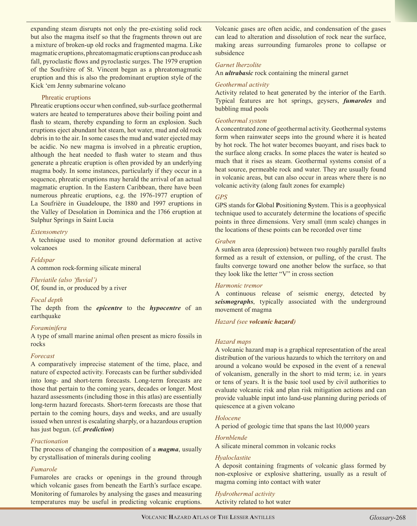expanding steam disrupts not only the pre-existing solid rock but also the magma itself so that the fragments thrown out are a mixture of broken-up old rocks and fragmented magma. Like magmatic eruptions, phreatomagmatic eruptions can produce ash fall, pyroclastic flows and pyroclastic surges. The 1979 eruption of the Soufrière of St. Vincent began as a phreatomagmatic eruption and this is also the predominant eruption style of the Kick 'em Jenny submarine volcano

#### Phreatic eruptions

Phreatic eruptions occur when confined, sub-surface geothermal waters are heated to temperatures above their boiling point and flash to steam, thereby expanding to form an explosion. Such eruptions eject abundant hot steam, hot water, mud and old rock debris in to the air. In some cases the mud and water ejected may be acidic. No new magma is involved in a phreatic eruption, although the heat needed to flash water to steam and thus generate a phreatic eruption is often provided by an underlying magma body. In some instances, particularly if they occur in a sequence, phreatic eruptions may herald the arrival of an actual magmatic eruption. In the Eastern Caribbean, there have been numerous phreatic eruptions, e.g. the 1976-1977 eruption of La Soufrière in Guadeloupe, the 1880 and 1997 eruptions in the Valley of Desolation in Dominica and the 1766 eruption at Sulphur Springs in Saint Lucia

## *Extensometry*

A technique used to monitor ground deformation at active volcanoes

## *Feldspar*

A common rock-forming silicate mineral

*Fluviatile (also 'fluvial')* Of, found in, or produced by a river

## *Focal depth*

The depth from the *epicentre* to the *hypocentre* of an earthquake

## *Foraminifera*

A type of small marine animal often present as micro fossils in rocks

#### *Forecast*

A comparatively imprecise statement of the time, place, and nature of expected activity. Forecasts can be further subdivided into long- and short-term forecasts. Long-term forecasts are those that pertain to the coming years, decades or longer. Most hazard assessments (including those in this atlas) are essentially long-term hazard forecasts. Short-term forecasts are those that pertain to the coming hours, days and weeks, and are usually issued when unrest is escalating sharply, or a hazardous eruption has just begun. (cf. *prediction*)

## *Fractionation*

The process of changing the composition of a *magma*, usually by crystallisation of minerals during cooling

## *Fumarole*

Fumaroles are cracks or openings in the ground through which volcanic gases from beneath the Earth's surface escape. Monitoring of fumaroles by analysing the gases and measuring temperatures may be useful in predicting volcanic eruptions.

Volcanic gases are often acidic, and condensation of the gases can lead to alteration and dissolution of rock near the surface, making areas surrounding fumaroles prone to collapse or subsidence

#### *Garnet lherzolite*

An *ultrabasic* rock containing the mineral garnet

#### *Geothermal activity*

Activity related to heat generated by the interior of the Earth. Typical features are hot springs, geysers, *fumaroles* and bubbling mud pools

#### *Geothermal system*

A concentrated zone of geothermal activity. Geothermal systems form when rainwater seeps into the ground where it is heated by hot rock. The hot water becomes buoyant, and rises back to the surface along cracks. In some places the water is heated so much that it rises as steam. Geothermal systems consist of a heat source, permeable rock and water. They are usually found in volcanic areas, but can also occur in areas where there is no volcanic activity (along fault zones for example)

## *GPS*

GPS stands for **G**lobal **P**ositioning **S**ystem. This is a geophysical technique used to accurately determine the locations of specific points in three dimensions. Very small (mm scale) changes in the locations of these points can be recorded over time

#### *Graben*

A sunken area (depression) between two roughly parallel faults formed as a result of extension, or pulling, of the crust. The faults converge toward one another below the surface, so that they look like the letter "V" in cross section

## *Harmonic tremor*

A continuous release of seismic energy, detected by *seismographs*, typically associated with the underground movement of magma

*Hazard (see volcanic hazard)*

## *Hazard maps*

A volcanic hazard map is a graphical representation of the areal distribution of the various hazards to which the territory on and around a volcano would be exposed in the event of a renewal of volcanism, generally in the short to mid term; i.e. in years or tens of years. It is the basic tool used by civil authorities to evaluate volcanic risk and plan risk mitigation actions and can provide valuable input into land-use planning during periods of quiescence at a given volcano

## *Holocene*

A period of geologic time that spans the last 10,000 years

## *Hornblende*

A silicate mineral common in volcanic rocks

## *Hyaloclastite*

A deposit containing fragments of volcanic glass formed by non-explosive or explosive shattering, usually as a result of magma coming into contact with water

*Hydrothermal activity*  Activity related to hot water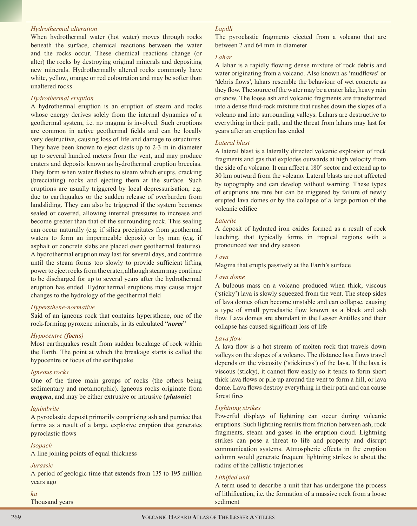#### *Hydrothermal alteration*

When hydrothermal water (hot water) moves through rocks beneath the surface, chemical reactions between the water and the rocks occur. These chemical reactions change (or alter) the rocks by destroying original minerals and depositing new minerals. Hydrothermally altered rocks commonly have white, yellow, orange or red colouration and may be softer than unaltered rocks

#### *Hydrothermal eruption*

A hydrothermal eruption is an eruption of steam and rocks whose energy derives solely from the internal dynamics of a geothermal system, i.e. no magma is involved. Such eruptions are common in active geothermal fields and can be locally very destructive, causing loss of life and damage to structures. They have been known to eject clasts up to 2-3 m in diameter up to several hundred meters from the vent, and may produce craters and deposits known as hydrothermal eruption breccias. They form when water flashes to steam which erupts, cracking (brecciating) rocks and ejecting them at the surface. Such eruptions are usually triggered by local depressurisation, e.g. due to earthquakes or the sudden release of overburden from landsliding. They can also be triggered if the system becomes sealed or covered, allowing internal pressures to increase and become greater than that of the surrounding rock. This sealing can occur naturally (e.g. if silica precipitates from geothermal waters to form an impermeable deposit) or by man (e.g. if asphalt or concrete slabs are placed over geothermal features). A hydrothermal eruption may last for several days, and continue until the steam forms too slowly to provide sufficient lifting power to eject rocks from the crater, although steam may continue to be discharged for up to several years after the hydrothermal eruption has ended. Hydrothermal eruptions may cause major changes to the hydrology of the geothermal field

#### *Hypersthene-normative*

Said of an igneous rock that contains hypersthene, one of the rock-forming pyroxene minerals, in its calculated "*norm*"

## *Hypocentre (focus)*

Most earthquakes result from sudden breakage of rock within the Earth. The point at which the breakage starts is called the hypocentre or focus of the earthquake

#### *Igneous rocks*

One of the three main groups of rocks (the others being sedimentary and metamorphic). Igneous rocks originate from *magma*, and may be either extrusive or intrusive (*plutonic*)

#### *Ignimbrite*

A pyroclastic deposit primarily comprising ash and pumice that forms as a result of a large, explosive eruption that generates pyroclastic flows

#### *Isopach*

A line joining points of equal thickness

#### *Jurassic*

A period of geologic time that extends from 135 to 195 million years ago

#### *ka*

Thousand years

#### *Lapilli*

The pyroclastic fragments ejected from a volcano that are between 2 and 64 mm in diameter

#### *Lahar*

A lahar is a rapidly flowing dense mixture of rock debris and water originating from a volcano. Also known as 'mudflows' or 'debris flows', lahars resemble the behaviour of wet concrete as they flow. The source of the water may be a crater lake, heavy rain or snow. The loose ash and volcanic fragments are transformed into a dense fluid-rock mixture that rushes down the slopes of a volcano and into surrounding valleys. Lahars are destructive to everything in their path, and the threat from lahars may last for years after an eruption has ended

#### *Lateral blast*

A lateral blast is a laterally directed volcanic explosion of rock fragments and gas that explodes outwards at high velocity from the side of a volcano. It can affect a 180° sector and extend up to 30 km outward from the volcano. Lateral blasts are not affected by topography and can develop without warning. These types of eruptions are rare but can be triggered by failure of newly erupted lava domes or by the collapse of a large portion of the volcanic edifice

#### *Laterite*

A deposit of hydrated iron oxides formed as a result of rock leaching, that typically forms in tropical regions with a pronounced wet and dry season

#### *Lava*

Magma that erupts passively at the Earth's surface

#### *Lava dome*

A bulbous mass on a volcano produced when thick, viscous ('sticky') lava is slowly squeezed from the vent. The steep sides of lava domes often become unstable and can collapse, causing a type of small pyroclastic flow known as a block and ash flow. Lava domes are abundant in the Lesser Antilles and their collapse has caused significant loss of life

#### *Lava flow*

A lava flow is a hot stream of molten rock that travels down valleys on the slopes of a volcano. The distance lava flows travel depends on the viscosity ('stickiness') of the lava. If the lava is viscous (sticky), it cannot flow easily so it tends to form short thick lava flows or pile up around the vent to form a hill, or lava dome. Lava flows destroy everything in their path and can cause forest fires

## *Lightning strikes*

Powerful displays of lightning can occur during volcanic eruptions. Such lightning results from friction between ash, rock fragments, steam and gases in the eruption cloud. Lightning strikes can pose a threat to life and property and disrupt communication systems. Atmospheric effects in the eruption column would generate frequent lightning strikes to about the radius of the ballistic trajectories

#### *Lithified unit*

A term used to describe a unit that has undergone the process of lithification, i.e. the formation of a massive rock from a loose sediment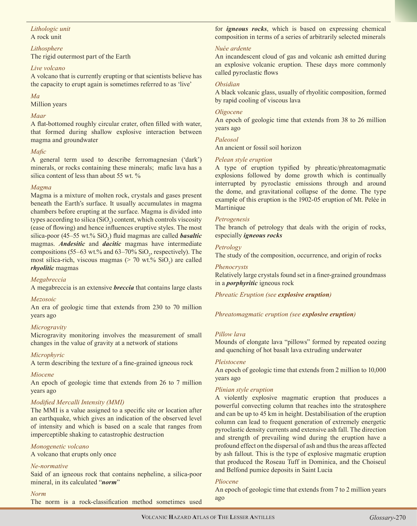## *Lithologic unit* A rock unit

## *Lithosphere*

The rigid outermost part of the Earth

## *Live volcano*

A volcano that is currently erupting or that scientists believe has the capacity to erupt again is sometimes referred to as 'live'

## *Ma*

Million years

## *Maar*

A flat-bottomed roughly circular crater, often filled with water, that formed during shallow explosive interaction between magma and groundwater

## *Mafic*

A general term used to describe ferromagnesian ('dark') minerals, or rocks containing these minerals; mafic lava has a silica content of less than about 55 wt. %

## *Magma*

Magma is a mixture of molten rock, crystals and gases present beneath the Earth's surface. It usually accumulates in magma chambers before erupting at the surface. Magma is divided into types according to silica  $(SiO_2)$  content, which controls viscosity (ease of flowing) and hence influences eruptive styles. The most silica-poor (45–55 wt.% SiO<sub>2</sub>) fluid magmas are called **basaltic** magmas. *Andesitic* and *dacitic* magmas have intermediate compositions (55–63 wt.% and 63–70%  $SiO_2$ , respectively). The most silica-rich, viscous magmas ( $> 70$  wt.%  $SiO<sub>2</sub>$ ) are called *rhyolitic* magmas

## *Megabreccia*

A megabreccia is an extensive *breccia* that contains large clasts

## *Mezosoic*

An era of geologic time that extends from 230 to 70 million years ago

## *Microgravity*

Microgravity monitoring involves the measurement of small changes in the value of gravity at a network of stations

## *Microphyric*

A term describing the texture of a fine-grained igneous rock

## *Miocene*

An epoch of geologic time that extends from 26 to 7 million years ago

## *Modified Mercalli Intensity (MMI)*

The MMI is a value assigned to a specific site or location after an earthquake, which gives an indication of the observed level of intensity and which is based on a scale that ranges from imperceptible shaking to catastrophic destruction

## *Monogenetic volcano*

A volcano that erupts only once

## *Ne-normative*

Said of an igneous rock that contains nepheline, a silica-poor mineral, in its calculated "*norm*"

## *Norm*

The norm is a rock-classification method sometimes used

for *igneous rocks*, which is based on expressing chemical composition in terms of a series of arbitrarily selected minerals

## *Nuée ardente*

An incandescent cloud of gas and volcanic ash emitted during an explosive volcanic eruption. These days more commonly called pyroclastic flows

## *Obsidian*

A black volcanic glass, usually of rhyolitic composition, formed by rapid cooling of viscous lava

## *Oligocene*

An epoch of geologic time that extends from 38 to 26 million years ago

## *Paleosol*

An ancient or fossil soil horizon

## *Pelean style eruption*

A type of eruption typified by phreatic/phreatomagmatic explosions followed by dome growth which is continually interrupted by pyroclastic emissions through and around the dome, and gravitational collapse of the dome. The type example of this eruption is the 1902-05 eruption of Mt. Pelée in Martinique

## *Petrogenesis*

The branch of petrology that deals with the origin of rocks, especially *igneous rocks*

## *Petrology*

The study of the composition, occurrence, and origin of rocks

## *Phenocrysts*

Relatively large crystals found set in a finer-grained groundmass in a *porphyritic* igneous rock

*Phreatic Eruption (see explosive eruption)*

*Phreatomagmatic eruption (see explosive eruption)*

## *Pillow lava*

Mounds of elongate lava "pillows" formed by repeated oozing and quenching of hot basalt lava extruding underwater

## *Pleistocene*

An epoch of geologic time that extends from 2 million to 10,000 years ago

## *Plinian style eruption*

A violently explosive magmatic eruption that produces a powerful convecting column that reaches into the stratosphere and can be up to 45 km in height. Destabilisation of the eruption column can lead to frequent generation of extremely energetic pyroclastic density currents and extensive ash fall. The direction and strength of prevailing wind during the eruption have a profound effect on the dispersal of ash and thus the areas affected by ash fallout. This is the type of explosive magmatic eruption that produced the Roseau Tuff in Dominica, and the Choiseul and Belfond pumice deposits in Saint Lucia

## *Pliocene*

An epoch of geologic time that extends from 7 to 2 million years ago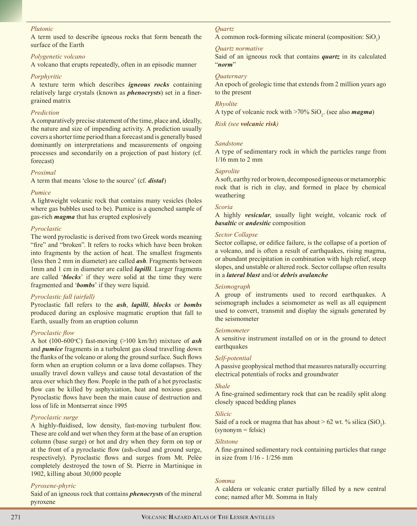#### *Plutonic*

A term used to describe igneous rocks that form beneath the surface of the Earth

#### *Polygenetic volcano*

A volcano that erupts repeatedly, often in an episodic manner

#### *Porphyritic*

A texture term which describes *igneous rocks* containing relatively large crystals (known as *phenocrysts*) set in a finergrained matrix

#### *Prediction*

A comparatively precise statement of the time, place and, ideally, the nature and size of impending activity. A prediction usually covers a shorter time period than a forecast and is generally based dominantly on interpretations and measurements of ongoing processes and secondarily on a projection of past history (cf. forecast)

#### *Proximal*

A term that means 'close to the source' (cf. *distal*)

#### *Pumice*

A lightweight volcanic rock that contains many vesicles (holes where gas bubbles used to be). Pumice is a quenched sample of gas-rich *magma* that has erupted explosively

#### *Pyroclastic*

The word pyroclastic is derived from two Greek words meaning "fire" and "broken". It refers to rocks which have been broken into fragments by the action of heat. The smallest fragments (less then 2 mm in diameter) are called *ash*. Fragments between 1mm and 1 cm in diameter are called *lapilli*. Larger fragments are called '*blocks*' if they were solid at the time they were fragmented and '*bombs*' if they were liquid.

#### *Pyroclastic fall (airfall)*

Pyroclastic fall refers to the *ash*, *lapilli*, *blocks* or *bombs* produced during an explosive magmatic eruption that fall to Earth, usually from an eruption column

#### *Pyroclastic flow*

A hot (100-600°C) fast-moving (>100 km/hr) mixture of **ash** and *pumice* fragments in a turbulent gas cloud travelling down the flanks of the volcano or along the ground surface. Such flows form when an eruption column or a lava dome collapses. They usually travel down valleys and cause total devastation of the area over which they flow. People in the path of a hot pyroclastic flow can be killed by asphyxiation, heat and noxious gases. Pyroclastic flows have been the main cause of destruction and loss of life in Montserrat since 1995

#### *Pyroclastic surge*

A highly-fluidised, low density, fast-moving turbulent flow. These are cold and wet when they form at the base of an eruption column (base surge) or hot and dry when they form on top or at the front of a pyroclastic flow (ash-cloud and ground surge, respectively). Pyroclastic flows and surges from Mt. Pelèe completely destroyed the town of St. Pierre in Martinique in 1902, killing about 30,000 people

#### *Pyroxene-phyric*

Said of an igneous rock that contains *phenocrysts* of the mineral pyroxene

#### *Quartz*

A common rock-forming silicate mineral (composition:  $SiO<sub>2</sub>$ )

#### *Quartz normative*

Said of an igneous rock that contains *quartz* in its calculated "*norm*"

#### *Quaternary*

An epoch of geologic time that extends from 2 million years ago to the present

#### *Rhyolite*

A type of volcanic rock with >70% SiO<sub>2</sub>. (see also **magma**)

*Risk (see volcanic risk)*

#### *Sandstone*

A type of sedimentary rock in which the particles range from 1/16 mm to 2 mm

#### *Saprolite*

A soft, earthy red or brown, decomposed igneous or metamorphic rock that is rich in clay, and formed in place by chemical weathering

#### *Scoria*

A highly *vesicular*, usually light weight, volcanic rock of *basaltic* or *andesitic* composition

#### *Sector Collapse*

Sector collapse, or edifice failure, is the collapse of a portion of a volcano, and is often a result of earthquakes, rising magma, or abundant precipitation in combination with high relief, steep slopes, and unstable or altered rock. Sector collapse often results in a *lateral blast* and/or *debris avalanche*

#### *Seismograph*

A group of instruments used to record earthquakes. A seismograph includes a seismometer as well as all equipment used to convert, transmit and display the signals generated by the seismometer

#### *Seismometer*

A sensitive instrument installed on or in the ground to detect earthquakes

#### *Self-potential*

A passive geophysical method that measures naturally occurring electrical potentials of rocks and groundwater

#### *Shale*

A fine-grained sedimentary rock that can be readily split along closely spaced bedding planes

#### *Silicic*

Said of a rock or magma that has about >  $62$  wt. % silica (SiO<sub>2</sub>). (synonym = felsic)

#### *Siltstone*

A fine-grained sedimentary rock containing particles that range in size from 1/16 - 1/256 mm

#### *Somma*

A caldera or volcanic crater partially filled by a new central cone; named after Mt. Somma in Italy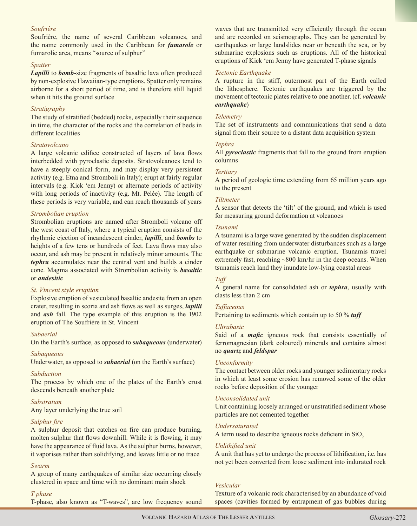#### *Soufrière*

Soufrière, the name of several Caribbean volcanoes, and the name commonly used in the Caribbean for *fumarole* or fumarolic area, means "source of sulphur"

#### *Spatter*

*Lapilli* to *bomb*-size fragments of basaltic lava often produced by non-explosive Hawaiian-type eruptions. Spatter only remains airborne for a short period of time, and is therefore still liquid when it hits the ground surface

#### *Stratigraphy*

The study of stratified (bedded) rocks, especially their sequence in time, the character of the rocks and the correlation of beds in different localities

#### *Stratovolcano*

A large volcanic edifice constructed of layers of lava flows interbedded with pyroclastic deposits. Stratovolcanoes tend to have a steeply conical form, and may display very persistent activity (e.g. Etna and Stromboli in Italy); erupt at fairly regular intervals (e.g. Kick 'em Jenny) or alternate periods of activity with long periods of inactivity (e.g. Mt. Pelée). The length of these periods is very variable, and can reach thousands of years

## *Strombolian eruption*

Strombolian eruptions are named after Stromboli volcano off the west coast of Italy, where a typical eruption consists of the rhythmic ejection of incandescent cinder, *lapilli*, and *bombs* to heights of a few tens or hundreds of feet. Lava flows may also occur, and ash may be present in relatively minor amounts. The *tephra* accumulates near the central vent and builds a cinder cone. Magma associated with Strombolian activity is *basaltic* or *andesitic*

#### *St. Vincent style eruption*

Explosive eruption of vesiculated basaltic andesite from an open crater, resulting in scoria and ash flows as well as surges, *lapilli* and *ash* fall. The type example of this eruption is the 1902 eruption of The Soufrière in St. Vincent

#### *Subaerial*

On the Earth's surface, as opposed to *subaqueous* (underwater)

#### *Subaqueous*

Underwater, as opposed to *subaerial* (on the Earth's surface)

#### *Subduction*

The process by which one of the plates of the Earth's crust descends beneath another plate

## *Substratum*

Any layer underlying the true soil

## *Sulphur fire*

A sulphur deposit that catches on fire can produce burning, molten sulphur that flows downhill. While it is flowing, it may have the appearance of fluid lava. As the sulphur burns, however, it vaporises rather than solidifying, and leaves little or no trace

## *Swarm*

A group of many earthquakes of similar size occurring closely clustered in space and time with no dominant main shock

#### *T phase*

T-phase, also known as "T-waves", are low frequency sound

waves that are transmitted very efficiently through the ocean and are recorded on seismographs. They can be generated by earthquakes or large landslides near or beneath the sea, or by submarine explosions such as eruptions. All of the historical eruptions of Kick 'em Jenny have generated T-phase signals

#### *Tectonic Earthquake*

A rupture in the stiff, outermost part of the Earth called the lithosphere. Tectonic earthquakes are triggered by the movement of tectonic plates relative to one another. (cf. *volcanic earthquake*)

#### *Telemetry*

The set of instruments and communications that send a data signal from their source to a distant data acquisition system

#### *Tephra*

All *pyroclastic* fragments that fall to the ground from eruption columns

#### *Tertiary*

A period of geologic time extending from 65 million years ago to the present

#### *Tiltmeter*

A sensor that detects the 'tilt' of the ground, and which is used for measuring ground deformation at volcanoes

#### *Tsunami*

A tsunami is a large wave generated by the sudden displacement of water resulting from underwater disturbances such as a large earthquake or submarine volcanic eruption. Tsunamis travel extremely fast, reaching ~800 km/hr in the deep oceans. When tsunamis reach land they inundate low-lying coastal areas

## *Tuff*

A general name for consolidated ash or *tephra*, usually with clasts less than 2 cm

## *Tuffaceous*

Pertaining to sediments which contain up to 50 % *tuff*

## *Ultrabasic*

Said of a *mafic* igneous rock that consists essentially of ferromagnesian (dark coloured) minerals and contains almost no *quartz* and *feldspar*

#### *Unconformity*

The contact between older rocks and younger sedimentary rocks in which at least some erosion has removed some of the older rocks before deposition of the younger

#### *Unconsolidated unit*

Unit containing loosely arranged or unstratified sediment whose particles are not cemented together

## *Undersaturated*

A term used to describe igneous rocks deficient in  $SiO<sub>2</sub>$ 

#### *Unlithified unit*

A unit that has yet to undergo the process of lithification, i.e. has not yet been converted from loose sediment into indurated rock

## *Vesicular*

Texture of a volcanic rock characterised by an abundance of void spaces (cavities formed by entrapment of gas bubbles during